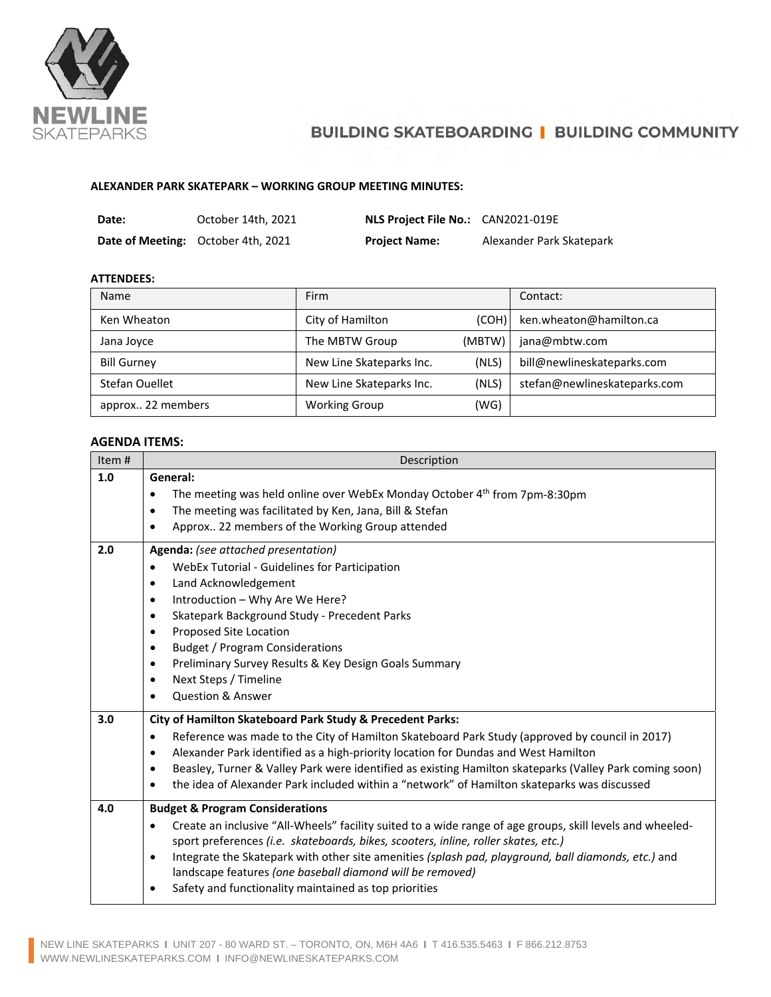

### **BUILDING SKATEBOARDING | BUILDING COMMUNITY**

### **ALEXANDER PARK SKATEPARK – WORKING GROUP MEETING MINUTES:**

| Date: | October 14th, 2021                        | <b>NLS Project File No.: CAN2021-019E</b> |                          |
|-------|-------------------------------------------|-------------------------------------------|--------------------------|
|       | <b>Date of Meeting:</b> October 4th, 2021 | <b>Project Name:</b>                      | Alexander Park Skatepark |

#### **ATTENDEES:**

| <b>Name</b>           | Firm                     |        | Contact:                     |
|-----------------------|--------------------------|--------|------------------------------|
| Ken Wheaton           | City of Hamilton         | (COH)  | ken.wheaton@hamilton.ca      |
| Jana Joyce            | The MBTW Group           | (MBTW) | jana@mbtw.com                |
| <b>Bill Gurney</b>    | New Line Skateparks Inc. | (NLS)  | bill@newlineskateparks.com   |
| <b>Stefan Ouellet</b> | New Line Skateparks Inc. | (NLS)  | stefan@newlineskateparks.com |
| approx 22 members     | <b>Working Group</b>     | (WG)   |                              |

#### **AGENDA ITEMS:**

| Item# | Description                                                                                                                                                                                                                                                                                                                                                                                                                                                                                                       |
|-------|-------------------------------------------------------------------------------------------------------------------------------------------------------------------------------------------------------------------------------------------------------------------------------------------------------------------------------------------------------------------------------------------------------------------------------------------------------------------------------------------------------------------|
| 1.0   | General:<br>The meeting was held online over WebEx Monday October 4th from 7pm-8:30pm<br>$\bullet$<br>The meeting was facilitated by Ken, Jana, Bill & Stefan<br>$\bullet$<br>Approx 22 members of the Working Group attended<br>$\bullet$                                                                                                                                                                                                                                                                        |
| 2.0   | Agenda: (see attached presentation)<br>WebEx Tutorial - Guidelines for Participation<br>$\bullet$<br>Land Acknowledgement<br>$\bullet$<br>Introduction - Why Are We Here?<br>$\bullet$<br>Skatepark Background Study - Precedent Parks<br>$\bullet$<br>Proposed Site Location<br>$\bullet$<br><b>Budget / Program Considerations</b><br>$\bullet$<br>Preliminary Survey Results & Key Design Goals Summary<br>٠<br>Next Steps / Timeline<br>$\bullet$<br><b>Question &amp; Answer</b><br>$\bullet$                |
| 3.0   | City of Hamilton Skateboard Park Study & Precedent Parks:<br>Reference was made to the City of Hamilton Skateboard Park Study (approved by council in 2017)<br>$\bullet$<br>Alexander Park identified as a high-priority location for Dundas and West Hamilton<br>$\bullet$<br>Beasley, Turner & Valley Park were identified as existing Hamilton skateparks (Valley Park coming soon)<br>$\bullet$<br>the idea of Alexander Park included within a "network" of Hamilton skateparks was discussed<br>$\bullet$   |
| 4.0   | <b>Budget &amp; Program Considerations</b><br>Create an inclusive "All-Wheels" facility suited to a wide range of age groups, skill levels and wheeled-<br>$\bullet$<br>sport preferences (i.e. skateboards, bikes, scooters, inline, roller skates, etc.)<br>Integrate the Skatepark with other site amenities (splash pad, playground, ball diamonds, etc.) and<br>$\bullet$<br>landscape features (one baseball diamond will be removed)<br>Safety and functionality maintained as top priorities<br>$\bullet$ |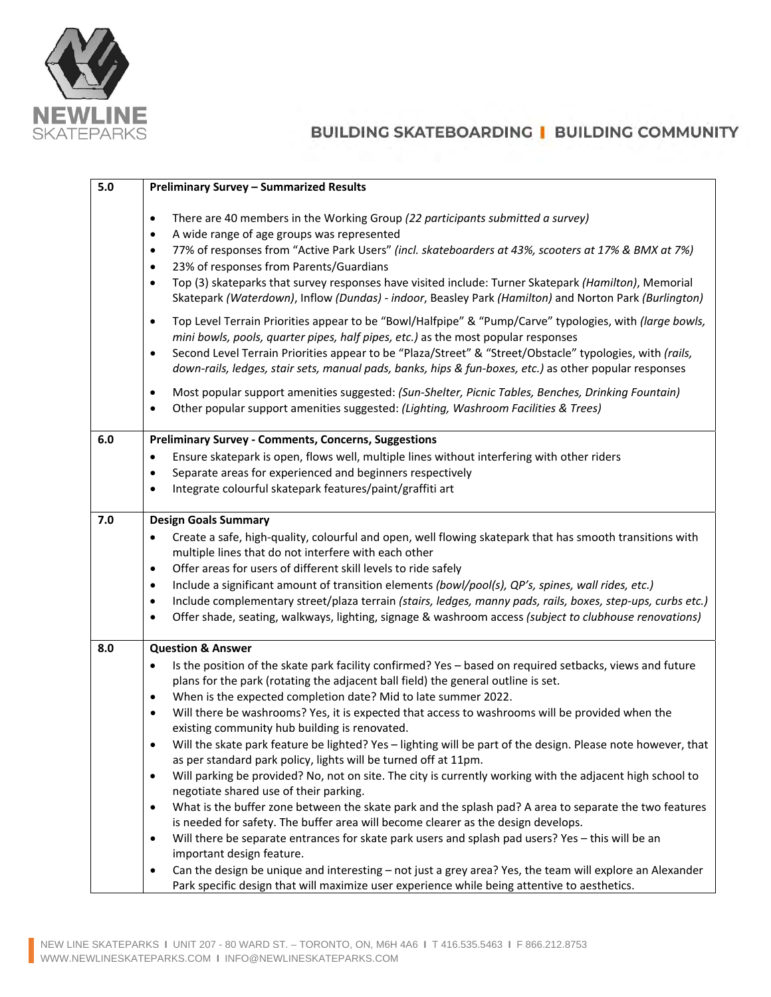

# **BUILDING SKATEBOARDING | BUILDING COMMUNITY**

| 5.0 | <b>Preliminary Survey - Summarized Results</b>                                                                                                                                                                                                                                                                                                                                                                                                                                                                                                                                                                                                                                                                                                                                                                                                                                                                                                                                                                                                                                                                                                                                                                                                                                                                                                                                                                           |
|-----|--------------------------------------------------------------------------------------------------------------------------------------------------------------------------------------------------------------------------------------------------------------------------------------------------------------------------------------------------------------------------------------------------------------------------------------------------------------------------------------------------------------------------------------------------------------------------------------------------------------------------------------------------------------------------------------------------------------------------------------------------------------------------------------------------------------------------------------------------------------------------------------------------------------------------------------------------------------------------------------------------------------------------------------------------------------------------------------------------------------------------------------------------------------------------------------------------------------------------------------------------------------------------------------------------------------------------------------------------------------------------------------------------------------------------|
|     |                                                                                                                                                                                                                                                                                                                                                                                                                                                                                                                                                                                                                                                                                                                                                                                                                                                                                                                                                                                                                                                                                                                                                                                                                                                                                                                                                                                                                          |
|     | There are 40 members in the Working Group (22 participants submitted a survey)<br>$\bullet$<br>A wide range of age groups was represented<br>$\bullet$<br>77% of responses from "Active Park Users" (incl. skateboarders at 43%, scooters at 17% & BMX at 7%)<br>$\bullet$<br>23% of responses from Parents/Guardians<br>$\bullet$<br>Top (3) skateparks that survey responses have visited include: Turner Skatepark (Hamilton), Memorial<br>$\bullet$<br>Skatepark (Waterdown), Inflow (Dundas) - indoor, Beasley Park (Hamilton) and Norton Park (Burlington)                                                                                                                                                                                                                                                                                                                                                                                                                                                                                                                                                                                                                                                                                                                                                                                                                                                         |
|     | Top Level Terrain Priorities appear to be "Bowl/Halfpipe" & "Pump/Carve" typologies, with (large bowls,<br>$\bullet$<br>mini bowls, pools, quarter pipes, half pipes, etc.) as the most popular responses<br>Second Level Terrain Priorities appear to be "Plaza/Street" & "Street/Obstacle" typologies, with (rails,<br>$\bullet$<br>down-rails, ledges, stair sets, manual pads, banks, hips & fun-boxes, etc.) as other popular responses                                                                                                                                                                                                                                                                                                                                                                                                                                                                                                                                                                                                                                                                                                                                                                                                                                                                                                                                                                             |
|     | Most popular support amenities suggested: (Sun-Shelter, Picnic Tables, Benches, Drinking Fountain)<br>$\bullet$<br>Other popular support amenities suggested: (Lighting, Washroom Facilities & Trees)<br>٠                                                                                                                                                                                                                                                                                                                                                                                                                                                                                                                                                                                                                                                                                                                                                                                                                                                                                                                                                                                                                                                                                                                                                                                                               |
| 6.0 | <b>Preliminary Survey - Comments, Concerns, Suggestions</b><br>Ensure skatepark is open, flows well, multiple lines without interfering with other riders<br>$\bullet$<br>Separate areas for experienced and beginners respectively<br>$\bullet$<br>Integrate colourful skatepark features/paint/graffiti art<br>$\bullet$                                                                                                                                                                                                                                                                                                                                                                                                                                                                                                                                                                                                                                                                                                                                                                                                                                                                                                                                                                                                                                                                                               |
| 7.0 | <b>Design Goals Summary</b><br>Create a safe, high-quality, colourful and open, well flowing skatepark that has smooth transitions with<br>$\bullet$<br>multiple lines that do not interfere with each other<br>Offer areas for users of different skill levels to ride safely<br>$\bullet$<br>Include a significant amount of transition elements (bowl/pool(s), QP's, spines, wall rides, etc.)<br>$\bullet$<br>Include complementary street/plaza terrain (stairs, ledges, manny pads, rails, boxes, step-ups, curbs etc.)<br>$\bullet$<br>Offer shade, seating, walkways, lighting, signage & washroom access (subject to clubhouse renovations)<br>$\bullet$                                                                                                                                                                                                                                                                                                                                                                                                                                                                                                                                                                                                                                                                                                                                                        |
| 8.0 | <b>Question &amp; Answer</b><br>Is the position of the skate park facility confirmed? Yes - based on required setbacks, views and future<br>$\bullet$<br>plans for the park (rotating the adjacent ball field) the general outline is set.<br>When is the expected completion date? Mid to late summer 2022.<br>$\bullet$<br>Will there be washrooms? Yes, it is expected that access to washrooms will be provided when the<br>$\bullet$<br>existing community hub building is renovated.<br>Will the skate park feature be lighted? Yes - lighting will be part of the design. Please note however, that<br>$\bullet$<br>as per standard park policy, lights will be turned off at 11pm.<br>Will parking be provided? No, not on site. The city is currently working with the adjacent high school to<br>negotiate shared use of their parking.<br>What is the buffer zone between the skate park and the splash pad? A area to separate the two features<br>is needed for safety. The buffer area will become clearer as the design develops.<br>Will there be separate entrances for skate park users and splash pad users? Yes - this will be an<br>$\bullet$<br>important design feature.<br>Can the design be unique and interesting - not just a grey area? Yes, the team will explore an Alexander<br>$\bullet$<br>Park specific design that will maximize user experience while being attentive to aesthetics. |